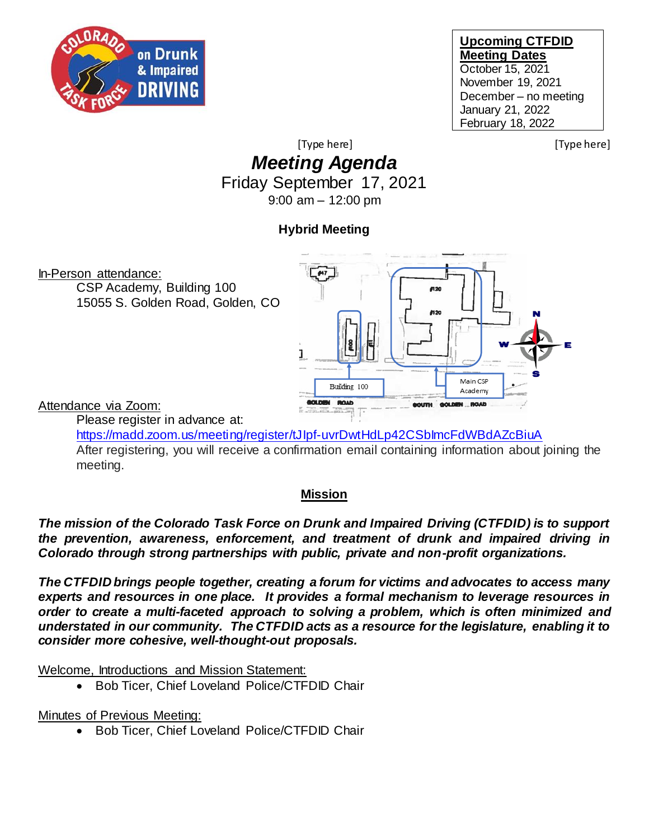

#### **Upcoming CTFDID Meeting Dates** October 15, 2021 November 19, 2021 December – no meeting January 21, 2022 February 18, 2022

[Type here] [Type here]

# *Meeting Agenda* Friday September 17, 2021

9:00 am – 12:00 pm

# **Hybrid Meeting**



<https://madd.zoom.us/meeting/register/tJIpf-uvrDwtHdLp42CSbImcFdWBdAZcBiuA> After registering, you will receive a confirmation email containing information about joining the meeting.

### **Mission**

*The mission of the Colorado Task Force on Drunk and Impaired Driving (CTFDID) is to support the prevention, awareness, enforcement, and treatment of drunk and impaired driving in Colorado through strong partnerships with public, private and non-profit organizations.* 

*The CTFDID brings people together, creating a forum for victims and advocates to access many experts and resources in one place. It provides a formal mechanism to leverage resources in order to create a multi-faceted approach to solving a problem, which is often minimized and understated in our community. The CTFDID acts as a resource for the legislature, enabling it to consider more cohesive, well-thought-out proposals.* 

Welcome, Introductions and Mission Statement:

• Bob Ticer, Chief Loveland Police/CTFDID Chair

Minutes of Previous Meeting:

• Bob Ticer, Chief Loveland Police/CTFDID Chair